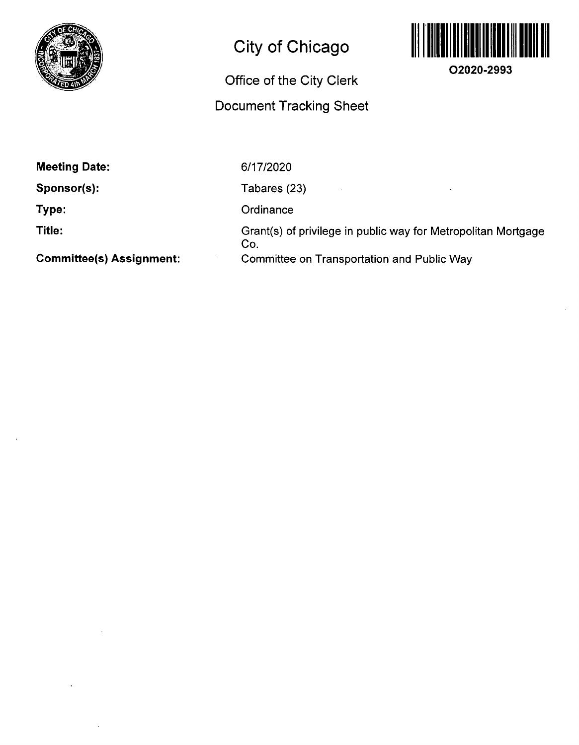

# **City of Chicago**

### **Office of the City Clerk**

## **Document Tracking Sheet**



**O2020-2993** 

**Meeting Date:** 

**Sponsor(s):** 

**Type:** 

**Title:** 

**Committee(s) Assignment:** 

6/17/2020

Tabares (23)

**Ordinance** 

Grant(s) of privilege in public way for Metropolitan Mortgage Co. Comnnittee on Transportation and Public Way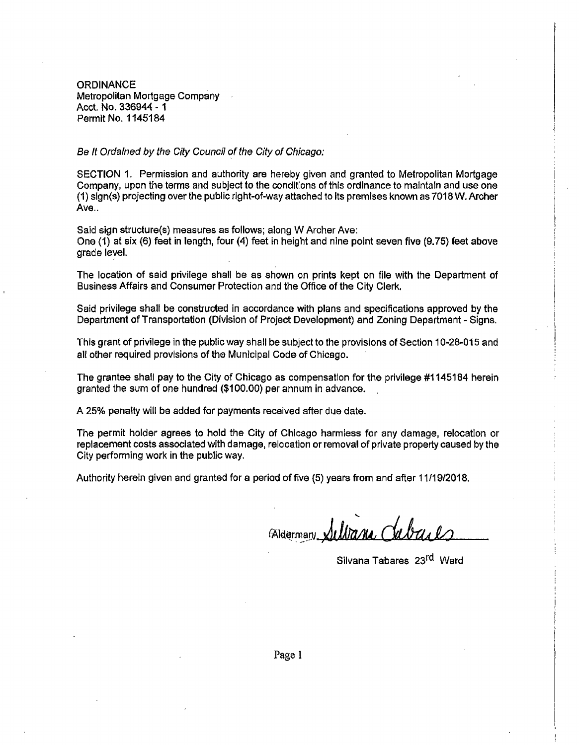**ORDINANCE** Metropolitan Mortgage Company Acct, No. 336944 - 1 Permit No. 1145184

Se It Ordained by the City Council of the City of Chicago:

SECTION 1. Permission and authority are hereby given and granted to Metropolitan Mortgage Company, upon the terms and subject to the conditions of tiiis ordinance to maintain and use one (1) sign(s) projecting over the public right-of-way attached to its premises known as 7018 W, Archer Ave..

Said sign structure(s) measures as follows; along W Archer Ave: One (1) at six (6) feet in length, four (4) feet in height and nine point seven five (9.75) feet above grade level.

The location of said privilege shall be as shown on prints kept on file with the Department of Business Affairs and Consumer Protection and the Office of the City Clerk,

Said privilege shall be constructed in accordance with plans and specifications approved by the Department of Transportation (Division of Project Development) and Zoning Department - Signs.

This grant of privilege in the public way shall be subject to the provisions of Section 10-28-015 and all other required provisions of the Municipal Code of Chicago.

The grantee shall pay to the City of Chicago as compensation for the privilege #1145184 herein granted the sum of one hundred (\$100.00) per annum in advance.

A 25% penalty will be added for payments received after due date.

The permit holder agrees to hold the City of Chicago harmless for any damage, relocation or replacement costs associated with damage, relocation or removal of private property caused by the City performing work in the public way.

Authority herein given and granted for a period of five (5) years from and after 11/19/2018.

Aldermar!/,

Silvana Tabares 23<sup>rd</sup> Ward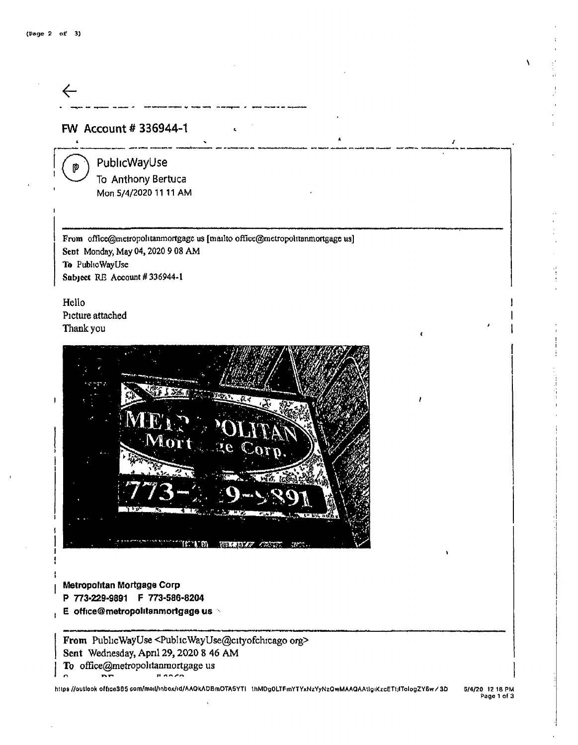

- **I Metropolitan Mortgage Corp P 773-229-9891 F 773-586-8204**
- **, E office@metropolitanmortgage us**

From PublicWayUse <PublicWayUse@cityofchicago org> Sent Wednesday, April 29,2020 8 46 AM To office@metropolitanmortgage us *II ^ n /- r* 

https //outlook office365 com/mail/inbox/id/AAQkADBmOTASYTI thMDgOLTFmYTYxNzYyNzQwMAAQAAtlgiKzcETtjlTologZY6w/3D 5/4/20 12 18 PM

Page 1 of 3